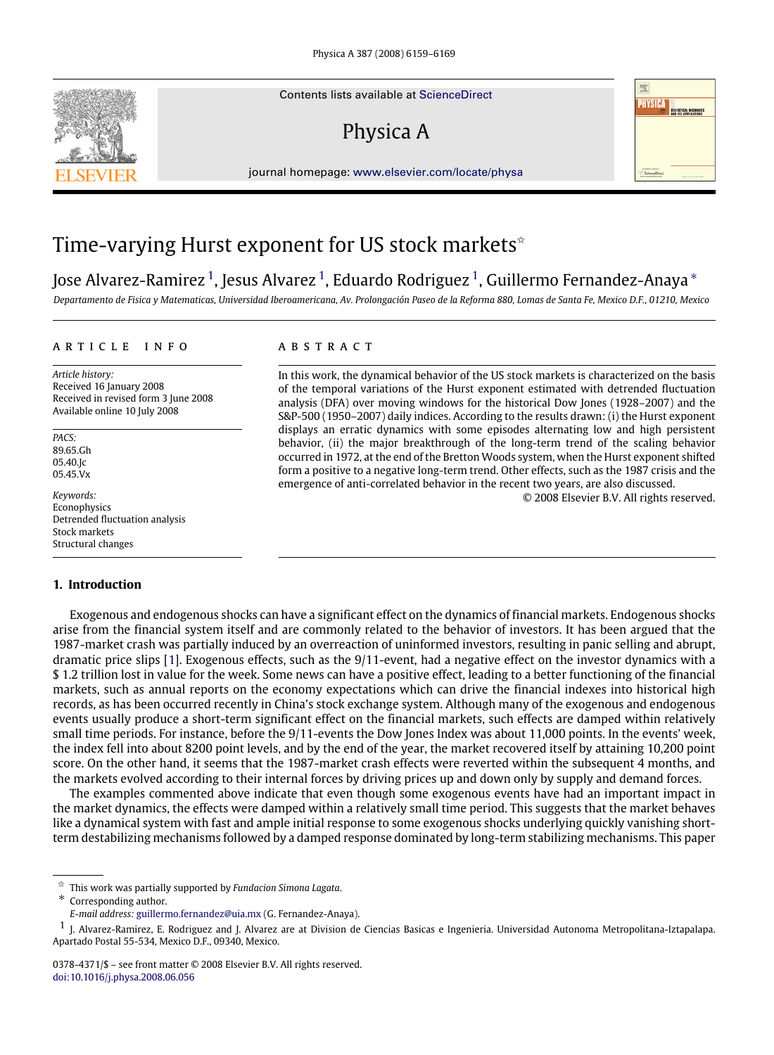Contents lists available at [ScienceDirect](http://www.elsevier.com/locate/physa)

# Physica A

journal homepage: [www.elsevier.com/locate/physa](http://www.elsevier.com/locate/physa)

# Time-varying Hurst exponent for US stock markets<sup> $\hat{z}$ </sup>

Jose Alvarez-Ramirez <sup>[1](#page-0-1)</sup>, Jesus Alvarez <sup>1</sup>, Eduardo Rodriguez <sup>1</sup>, Guillermo Fernandez-Anaya \*

*Departamento de Fisica y Matematicas, Universidad Iberoamericana, Av. Prolongación Paseo de la Reforma 880, Lomas de Santa Fe, Mexico D.F., 01210, Mexico*

### ARTICLE INFO

*Article history:* Received 16 January 2008 Received in revised form 3 June 2008 Available online 10 July 2008

*PACS:* 89.65.Gh 05.40.Jc 05.45.Vx

*Keywords:* **Econophysics** Detrended fluctuation analysis Stock markets Structural changes

#### **1. Introduction**

#### a b s t r a c t

In this work, the dynamical behavior of the US stock markets is characterized on the basis of the temporal variations of the Hurst exponent estimated with detrended fluctuation analysis (DFA) over moving windows for the historical Dow Jones (1928–2007) and the S&P-500 (1950–2007) daily indices. According to the results drawn: (i) the Hurst exponent displays an erratic dynamics with some episodes alternating low and high persistent behavior, (ii) the major breakthrough of the long-term trend of the scaling behavior occurred in 1972, at the end of the Bretton Woods system, when the Hurst exponent shifted form a positive to a negative long-term trend. Other effects, such as the 1987 crisis and the emergence of anti-correlated behavior in the recent two years, are also discussed.

© 2008 Elsevier B.V. All rights reserved.

**PHYSICA** A

Exogenous and endogenous shocks can have a significant effect on the dynamics of financial markets. Endogenous shocks arise from the financial system itself and are commonly related to the behavior of investors. It has been argued that the 1987-market crash was partially induced by an overreaction of uninformed investors, resulting in panic selling and abrupt, dramatic price slips [\[1\]](#page--1-0). Exogenous effects, such as the 9/11-event, had a negative effect on the investor dynamics with a \$ 1.2 trillion lost in value for the week. Some news can have a positive effect, leading to a better functioning of the financial markets, such as annual reports on the economy expectations which can drive the financial indexes into historical high records, as has been occurred recently in China's stock exchange system. Although many of the exogenous and endogenous events usually produce a short-term significant effect on the financial markets, such effects are damped within relatively small time periods. For instance, before the 9/11-events the Dow Jones Index was about 11,000 points. In the events' week, the index fell into about 8200 point levels, and by the end of the year, the market recovered itself by attaining 10,200 point score. On the other hand, it seems that the 1987-market crash effects were reverted within the subsequent 4 months, and the markets evolved according to their internal forces by driving prices up and down only by supply and demand forces.

The examples commented above indicate that even though some exogenous events have had an important impact in the market dynamics, the effects were damped within a relatively small time period. This suggests that the market behaves like a dynamical system with fast and ample initial response to some exogenous shocks underlying quickly vanishing shortterm destabilizing mechanisms followed by a damped response dominated by long-term stabilizing mechanisms. This paper

<span id="page-0-0"></span>✩ This work was partially supported by *Fundacion Simona Lagata*.

<span id="page-0-2"></span>Corresponding author.



<span id="page-0-1"></span>*E-mail address:* [guillermo.fernandez@uia.mx](mailto:guillermo.fernandez@uia.mx) (G. Fernandez-Anaya).

<sup>1</sup> J. Alvarez-Ramirez, E. Rodriguez and J. Alvarez are at Division de Ciencias Basicas e Ingenieria. Universidad Autonoma Metropolitana-Iztapalapa. Apartado Postal 55-534, Mexico D.F., 09340, Mexico.

<sup>0378-4371/\$ –</sup> see front matter © 2008 Elsevier B.V. All rights reserved. [doi:10.1016/j.physa.2008.06.056](http://dx.doi.org/10.1016/j.physa.2008.06.056)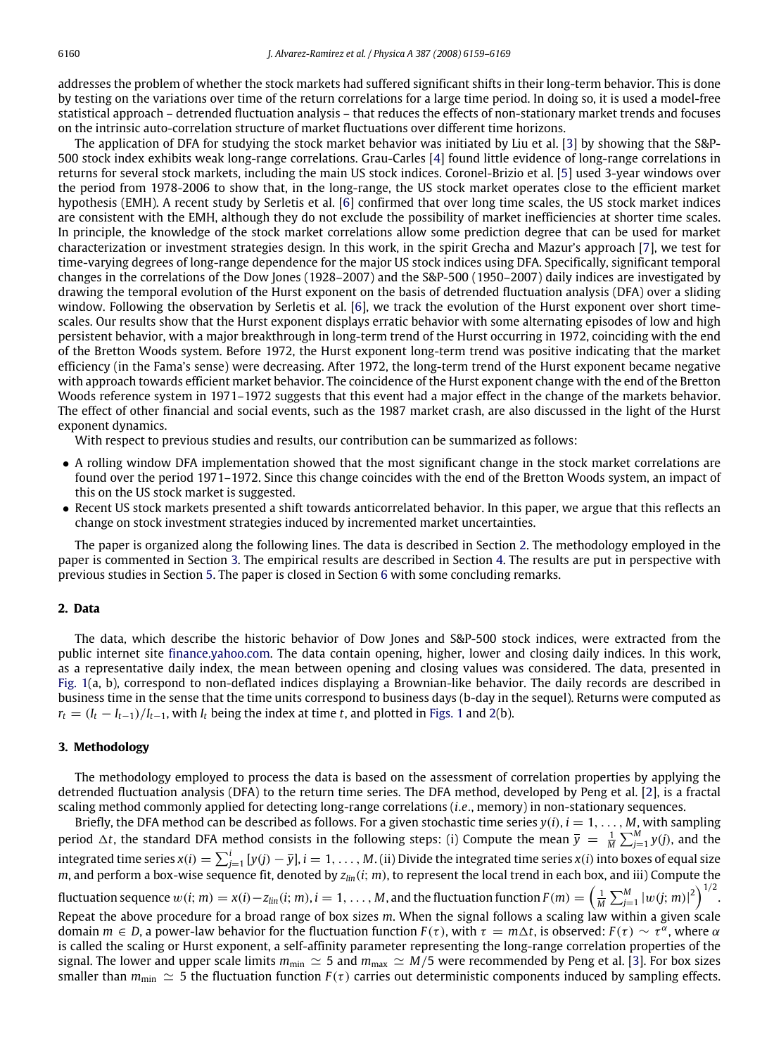addresses the problem of whether the stock markets had suffered significant shifts in their long-term behavior. This is done by testing on the variations over time of the return correlations for a large time period. In doing so, it is used a model-free statistical approach – detrended fluctuation analysis – that reduces the effects of non-stationary market trends and focuses on the intrinsic auto-correlation structure of market fluctuations over different time horizons.

The application of DFA for studying the stock market behavior was initiated by Liu et al. [\[3\]](#page--1-1) by showing that the S&P-500 stock index exhibits weak long-range correlations. Grau-Carles [\[4\]](#page--1-2) found little evidence of long-range correlations in returns for several stock markets, including the main US stock indices. Coronel-Brizio et al. [\[5\]](#page--1-3) used 3-year windows over the period from 1978-2006 to show that, in the long-range, the US stock market operates close to the efficient market hypothesis (EMH). A recent study by Serletis et al. [\[6\]](#page--1-4) confirmed that over long time scales, the US stock market indices are consistent with the EMH, although they do not exclude the possibility of market inefficiencies at shorter time scales. In principle, the knowledge of the stock market correlations allow some prediction degree that can be used for market characterization or investment strategies design. In this work, in the spirit Grecha and Mazur's approach [\[7\]](#page--1-5), we test for time-varying degrees of long-range dependence for the major US stock indices using DFA. Specifically, significant temporal changes in the correlations of the Dow Jones (1928–2007) and the S&P-500 (1950–2007) daily indices are investigated by drawing the temporal evolution of the Hurst exponent on the basis of detrended fluctuation analysis (DFA) over a sliding window. Following the observation by Serletis et al. [\[6\]](#page--1-4), we track the evolution of the Hurst exponent over short timescales. Our results show that the Hurst exponent displays erratic behavior with some alternating episodes of low and high persistent behavior, with a major breakthrough in long-term trend of the Hurst occurring in 1972, coinciding with the end of the Bretton Woods system. Before 1972, the Hurst exponent long-term trend was positive indicating that the market efficiency (in the Fama's sense) were decreasing. After 1972, the long-term trend of the Hurst exponent became negative with approach towards efficient market behavior. The coincidence of the Hurst exponent change with the end of the Bretton Woods reference system in 1971–1972 suggests that this event had a major effect in the change of the markets behavior. The effect of other financial and social events, such as the 1987 market crash, are also discussed in the light of the Hurst exponent dynamics.

With respect to previous studies and results, our contribution can be summarized as follows:

- A rolling window DFA implementation showed that the most significant change in the stock market correlations are found over the period 1971–1972. Since this change coincides with the end of the Bretton Woods system, an impact of this on the US stock market is suggested.
- Recent US stock markets presented a shift towards anticorrelated behavior. In this paper, we argue that this reflects an change on stock investment strategies induced by incremented market uncertainties.

The paper is organized along the following lines. The data is described in Section [2.](#page-1-0) The methodology employed in the paper is commented in Section [3.](#page-1-1) The empirical results are described in Section [4.](#page--1-6) The results are put in perspective with previous studies in Section [5.](#page--1-7) The paper is closed in Section [6](#page--1-8) with some concluding remarks.

### <span id="page-1-0"></span>**2. Data**

The data, which describe the historic behavior of Dow Jones and S&P-500 stock indices, were extracted from the public internet site [finance.yahoo.com.](http://finance.yahoo.com) The data contain opening, higher, lower and closing daily indices. In this work, as a representative daily index, the mean between opening and closing values was considered. The data, presented in [Fig. 1\(](#page--1-9)a, b), correspond to non-deflated indices displaying a Brownian-like behavior. The daily records are described in business time in the sense that the time units correspond to business days (b-day in the sequel). Returns were computed as  $r_t = (I_t - I_{t-1})/I_{t-1}$ , with  $I_t$  being the index at time *t*, and plotted in [Figs. 1](#page--1-9) and [2\(](#page--1-10)b).

#### <span id="page-1-1"></span>**3. Methodology**

The methodology employed to process the data is based on the assessment of correlation properties by applying the detrended fluctuation analysis (DFA) to the return time series. The DFA method, developed by Peng et al. [\[2\]](#page--1-11), is a fractal scaling method commonly applied for detecting long-range correlations (*i*.*e*., memory) in non-stationary sequences.

Briefly, the DFA method can be described as follows. For a given stochastic time series  $y(i)$ ,  $i = 1, \ldots, M$ , with sampling period  $\Delta t$ , the standard DFA method consists in the following steps: (i) Compute the mean  $\bar{y} = \frac{1}{M} \sum_{j=1}^{M} y(j)$ , and the integrated time series  $x(i)=\sum_{j=1}^i{[y(j)-\overline{y}]}, i=1,\ldots,M.$  (ii) Divide the integrated time series  $x(i)$  into boxes of equal size *m*, and perform a box-wise sequence fit, denoted by *zlin*(*i*; *m*), to represent the local trend in each box, and iii) Compute the fluctuation sequence  $w(i; m) = x(i) - z_{lin}(i; m), i = 1, \ldots, M$ , and the fluctuation function  $F(m) = \left(\frac{1}{M} \sum_{j=1}^{M} |w(j; m)|^2\right)^{1/2}$ . Repeat the above procedure for a broad range of box sizes *m*. When the signal follows a scaling law within a given scale domain *m* ∈ *D*, a power-law behavior for the fluctuation function  $F(τ)$ , with  $τ = m∆t$ , is observed:  $F(τ) ∼ τ<sup>α</sup>$ , where α is called the scaling or Hurst exponent, a self-affinity parameter representing the long-range correlation properties of the signal. The lower and upper scale limits  $m_{min} \simeq 5$  and  $m_{max} \simeq M/5$  were recommended by Peng et al. [\[3\]](#page--1-1). For box sizes smaller than  $m_{\text{min}} \simeq 5$  the fluctuation function  $F(\tau)$  carries out deterministic components induced by sampling effects.